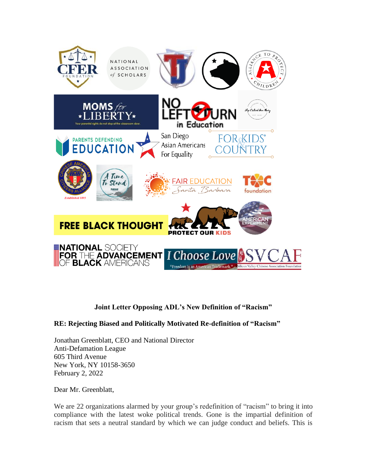

## **Joint Letter Opposing ADL's New Definition of "Racism"**

## **RE: Rejecting Biased and Politically Motivated Re-definition of "Racism"**

Jonathan Greenblatt, CEO and National Director Anti-Defamation League 605 Third Avenue New York, NY 10158-3650 February 2, 2022

Dear Mr. Greenblatt,

We are 22 organizations alarmed by your group's redefinition of "racism" to bring it into compliance with the latest woke political trends. Gone is the impartial definition of racism that sets a neutral standard by which we can judge conduct and beliefs. This is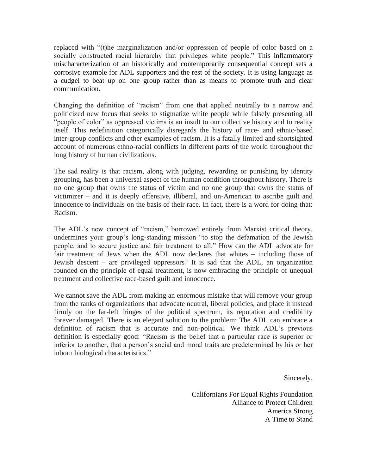replaced with "(t)he marginalization and/or oppression of people of color based on a socially constructed racial hierarchy that privileges white people." This inflammatory mischaracterization of an historically and contemporarily consequential concept sets a corrosive example for ADL supporters and the rest of the society. It is using language as a cudgel to beat up on one group rather than as means to promote truth and clear communication.

Changing the definition of "racism" from one that applied neutrally to a narrow and politicized new focus that seeks to stigmatize white people while falsely presenting all "people of color" as oppressed victims is an insult to our collective history and to reality itself. This redefinition categorically disregards the history of race- and ethnic-based inter-group conflicts and other examples of racism. It is a fatally limited and shortsighted account of numerous ethno-racial conflicts in different parts of the world throughout the long history of human civilizations.

The sad reality is that racism, along with judging, rewarding or punishing by identity grouping, has been a universal aspect of the human condition throughout history. There is no one group that owns the status of victim and no one group that owns the status of victimizer – and it is deeply offensive, illiberal, and un-American to ascribe guilt and innocence to individuals on the basis of their race. In fact, there is a word for doing that: Racism.

The ADL's new concept of "racism," borrowed entirely from Marxist critical theory, undermines your group's long-standing mission "to stop the defamation of the Jewish people, and to secure justice and fair treatment to all." How can the ADL advocate for fair treatment of Jews when the ADL now declares that whites – including those of Jewish descent – are privileged oppressors? It is sad that the ADL, an organization founded on the principle of equal treatment, is now embracing the principle of unequal treatment and collective race-based guilt and innocence.

We cannot save the ADL from making an enormous mistake that will remove your group from the ranks of organizations that advocate neutral, liberal policies, and place it instead firmly on the far-left fringes of the political spectrum, its reputation and credibility forever damaged. There is an elegant solution to the problem: The ADL can embrace a definition of racism that is accurate and non-political. We think ADL's previous definition is especially good: "Racism is the belief that a particular race is superior or inferior to another, that a person's social and moral traits are predetermined by his or her inborn biological characteristics."

Sincerely,

Californians For Equal Rights Foundation Alliance to Protect Children America Strong A Time to Stand